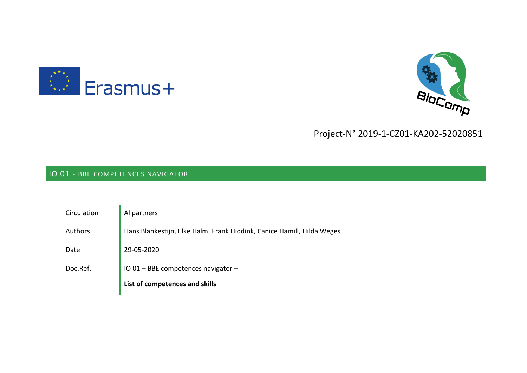



# Project-N° 2019-1-CZ01-KA202-52020851

# IO 01 - BBE COMPETENCES NAVIGATOR

| Circulation | Al partners                                                            |
|-------------|------------------------------------------------------------------------|
| Authors     | Hans Blankestijn, Elke Halm, Frank Hiddink, Canice Hamill, Hilda Weges |
| Date        | 29-05-2020                                                             |
| Doc.Ref.    | IO 01 - BBE competences navigator -                                    |
|             | List of competences and skills                                         |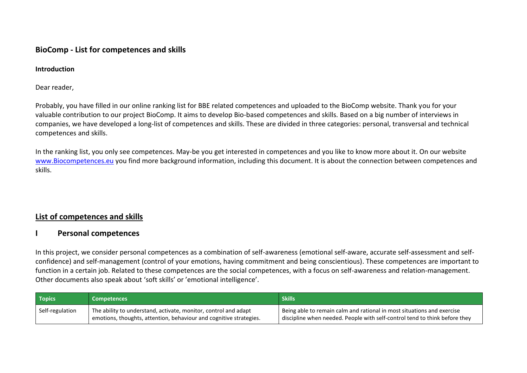## **BioComp - List for competences and skills**

#### **Introduction**

Dear reader,

Probably, you have filled in our online ranking list for BBE related competences and uploaded to the BioComp website. Thank you for your valuable contribution to our project BioComp. It aims to develop Bio-based competences and skills. Based on a big number of interviews in companies, we have developed a long-list of competences and skills. These are divided in three categories: personal, transversal and technical competences and skills.

In the ranking list, you only see competences. May-be you get interested in competences and you like to know more about it. On our website [www.Biocompetences.eu](http://www.biocompetences.eu/) you find more background information, including this document. It is about the connection between competences and skills.

## **List of competences and skills**

### **I Personal competences**

In this project, we consider personal competences as a combination of self-awareness (emotional self-aware, accurate self-assessment and selfconfidence) and self-management (control of your emotions, having commitment and being conscientious). These competences are important to function in a certain job. Related to these competences are the social competences, with a focus on self-awareness and relation-management. Other documents also speak about 'soft skills' or 'emotional intelligence'.

| Topics <sup>1</sup> | <b>Competences</b>                                                                                                                    | <b>Skills</b>                                                                                                                                        |
|---------------------|---------------------------------------------------------------------------------------------------------------------------------------|------------------------------------------------------------------------------------------------------------------------------------------------------|
| Self-regulation     | The ability to understand, activate, monitor, control and adapt<br>emotions, thoughts, attention, behaviour and cognitive strategies. | Being able to remain calm and rational in most situations and exercise<br>discipline when needed. People with self-control tend to think before they |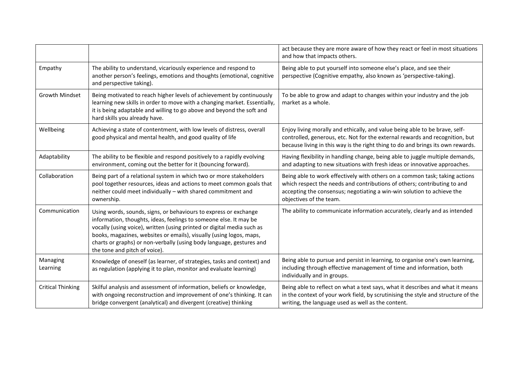|                          |                                                                                                                                                                                                                                                                                                                                                                                                 | act because they are more aware of how they react or feel in most situations<br>and how that impacts others.                                                                                                                                                 |
|--------------------------|-------------------------------------------------------------------------------------------------------------------------------------------------------------------------------------------------------------------------------------------------------------------------------------------------------------------------------------------------------------------------------------------------|--------------------------------------------------------------------------------------------------------------------------------------------------------------------------------------------------------------------------------------------------------------|
| Empathy                  | The ability to understand, vicariously experience and respond to<br>another person's feelings, emotions and thoughts (emotional, cognitive<br>and perspective taking).                                                                                                                                                                                                                          | Being able to put yourself into someone else's place, and see their<br>perspective (Cognitive empathy, also known as 'perspective-taking).                                                                                                                   |
| Growth Mindset           | Being motivated to reach higher levels of achievement by continuously<br>learning new skills in order to move with a changing market. Essentially,<br>it is being adaptable and willing to go above and beyond the soft and<br>hard skills you already have.                                                                                                                                    | To be able to grow and adapt to changes within your industry and the job<br>market as a whole.                                                                                                                                                               |
| Wellbeing                | Achieving a state of contentment, with low levels of distress, overall<br>good physical and mental health, and good quality of life                                                                                                                                                                                                                                                             | Enjoy living morally and ethically, and value being able to be brave, self-<br>controlled, generous, etc. Not for the external rewards and recognition, but<br>because living in this way is the right thing to do and brings its own rewards.               |
| Adaptability             | The ability to be flexible and respond positively to a rapidly evolving<br>environment, coming out the better for it (bouncing forward).                                                                                                                                                                                                                                                        | Having flexibility in handling change, being able to juggle multiple demands,<br>and adapting to new situations with fresh ideas or innovative approaches.                                                                                                   |
| Collaboration            | Being part of a relational system in which two or more stakeholders<br>pool together resources, ideas and actions to meet common goals that<br>neither could meet individually - with shared commitment and<br>ownership.                                                                                                                                                                       | Being able to work effectively with others on a common task; taking actions<br>which respect the needs and contributions of others; contributing to and<br>accepting the consensus; negotiating a win-win solution to achieve the<br>objectives of the team. |
| Communication            | Using words, sounds, signs, or behaviours to express or exchange<br>information, thoughts, ideas, feelings to someone else. It may be<br>vocally (using voice), written (using printed or digital media such as<br>books, magazines, websites or emails), visually (using logos, maps,<br>charts or graphs) or non-verbally (using body language, gestures and<br>the tone and pitch of voice). | The ability to communicate information accurately, clearly and as intended                                                                                                                                                                                   |
| Managing<br>Learning     | Knowledge of oneself (as learner, of strategies, tasks and context) and<br>as regulation (applying it to plan, monitor and evaluate learning)                                                                                                                                                                                                                                                   | Being able to pursue and persist in learning, to organise one's own learning,<br>including through effective management of time and information, both<br>individually and in groups.                                                                         |
| <b>Critical Thinking</b> | Skilful analysis and assessment of information, beliefs or knowledge,<br>with ongoing reconstruction and improvement of one's thinking. It can<br>bridge convergent (analytical) and divergent (creative) thinking                                                                                                                                                                              | Being able to reflect on what a text says, what it describes and what it means<br>in the context of your work field, by scrutinising the style and structure of the<br>writing, the language used as well as the content.                                    |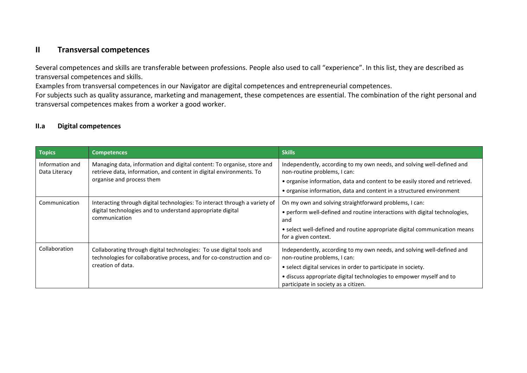## **II Transversal competences**

Several competences and skills are transferable between professions. People also used to call "experience". In this list, they are described as transversal competences and skills.

Examples from transversal competences in our Navigator are digital competences and entrepreneurial competences.

For subjects such as quality assurance, marketing and management, these competences are essential. The combination of the right personal and transversal competences makes from a worker a good worker.

#### **II.a Digital competences**

| <b>Topics</b>                    | <b>Competences</b>                                                                                                                                                         | <b>Skills</b>                                                                                                                                                                                                                                                                          |
|----------------------------------|----------------------------------------------------------------------------------------------------------------------------------------------------------------------------|----------------------------------------------------------------------------------------------------------------------------------------------------------------------------------------------------------------------------------------------------------------------------------------|
| Information and<br>Data Literacy | Managing data, information and digital content: To organise, store and<br>retrieve data, information, and content in digital environments. To<br>organise and process them | Independently, according to my own needs, and solving well-defined and<br>non-routine problems, I can:<br>• organise information, data and content to be easily stored and retrieved.<br>• organise information, data and content in a structured environment                          |
| Communication                    | Interacting through digital technologies: To interact through a variety of<br>digital technologies and to understand appropriate digital<br>communication                  | On my own and solving straightforward problems, I can:<br>• perform well-defined and routine interactions with digital technologies,<br>and<br>• select well-defined and routine appropriate digital communication means<br>for a given context.                                       |
| Collaboration                    | Collaborating through digital technologies: To use digital tools and<br>technologies for collaborative process, and for co-construction and co-<br>creation of data.       | Independently, according to my own needs, and solving well-defined and<br>non-routine problems, I can:<br>• select digital services in order to participate in society.<br>· discuss appropriate digital technologies to empower myself and to<br>participate in society as a citizen. |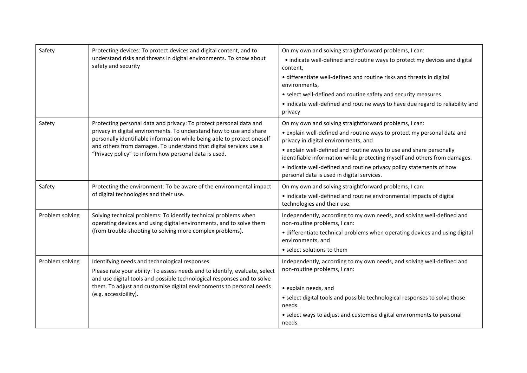| Safety          | Protecting devices: To protect devices and digital content, and to<br>understand risks and threats in digital environments. To know about<br>safety and security                                                                                                                                                                                    | On my own and solving straightforward problems, I can:<br>• indicate well-defined and routine ways to protect my devices and digital<br>content,<br>• differentiate well-defined and routine risks and threats in digital<br>environments,<br>• select well-defined and routine safety and security measures.<br>• indicate well-defined and routine ways to have due regard to reliability and<br>privacy                                          |
|-----------------|-----------------------------------------------------------------------------------------------------------------------------------------------------------------------------------------------------------------------------------------------------------------------------------------------------------------------------------------------------|-----------------------------------------------------------------------------------------------------------------------------------------------------------------------------------------------------------------------------------------------------------------------------------------------------------------------------------------------------------------------------------------------------------------------------------------------------|
| Safety          | Protecting personal data and privacy: To protect personal data and<br>privacy in digital environments. To understand how to use and share<br>personally identifiable information while being able to protect oneself<br>and others from damages. To understand that digital services use a<br>"Privacy policy" to inform how personal data is used. | On my own and solving straightforward problems, I can:<br>• explain well-defined and routine ways to protect my personal data and<br>privacy in digital environments, and<br>• explain well-defined and routine ways to use and share personally<br>identifiable information while protecting myself and others from damages.<br>• indicate well-defined and routine privacy policy statements of how<br>personal data is used in digital services. |
| Safety          | Protecting the environment: To be aware of the environmental impact<br>of digital technologies and their use.                                                                                                                                                                                                                                       | On my own and solving straightforward problems, I can:<br>• indicate well-defined and routine environmental impacts of digital<br>technologies and their use.                                                                                                                                                                                                                                                                                       |
| Problem solving | Solving technical problems: To identify technical problems when<br>operating devices and using digital environments, and to solve them<br>(from trouble-shooting to solving more complex problems).                                                                                                                                                 | Independently, according to my own needs, and solving well-defined and<br>non-routine problems, I can:<br>• differentiate technical problems when operating devices and using digital<br>environments, and<br>• select solutions to them                                                                                                                                                                                                            |
| Problem solving | Identifying needs and technological responses<br>Please rate your ability: To assess needs and to identify, evaluate, select<br>and use digital tools and possible technological responses and to solve<br>them. To adjust and customise digital environments to personal needs<br>(e.g. accessibility).                                            | Independently, according to my own needs, and solving well-defined and<br>non-routine problems, I can:<br>· explain needs, and<br>• select digital tools and possible technological responses to solve those<br>needs.<br>• select ways to adjust and customise digital environments to personal<br>needs.                                                                                                                                          |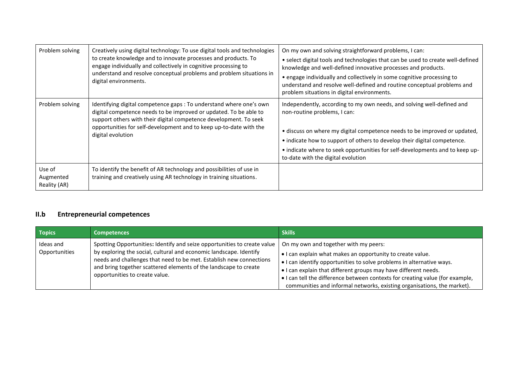| Problem solving                     | Creatively using digital technology: To use digital tools and technologies<br>to create knowledge and to innovate processes and products. To<br>engage individually and collectively in cognitive processing to<br>understand and resolve conceptual problems and problem situations in<br>digital environments. | On my own and solving straightforward problems, I can:<br>• select digital tools and technologies that can be used to create well-defined<br>knowledge and well-defined innovative processes and products.<br>• engage individually and collectively in some cognitive processing to<br>understand and resolve well-defined and routine conceptual problems and<br>problem situations in digital environments. |
|-------------------------------------|------------------------------------------------------------------------------------------------------------------------------------------------------------------------------------------------------------------------------------------------------------------------------------------------------------------|----------------------------------------------------------------------------------------------------------------------------------------------------------------------------------------------------------------------------------------------------------------------------------------------------------------------------------------------------------------------------------------------------------------|
| Problem solving                     | Identifying digital competence gaps : To understand where one's own<br>digital competence needs to be improved or updated. To be able to<br>support others with their digital competence development. To seek<br>opportunities for self-development and to keep up-to-date with the<br>digital evolution         | Independently, according to my own needs, and solving well-defined and<br>non-routine problems, I can:<br>· discuss on where my digital competence needs to be improved or updated,<br>• indicate how to support of others to develop their digital competence.<br>• indicate where to seek opportunities for self-developments and to keep up-<br>to-date with the digital evolution                          |
| Use of<br>Augmented<br>Reality (AR) | To identify the benefit of AR technology and possibilities of use in<br>training and creatively using AR technology in training situations.                                                                                                                                                                      |                                                                                                                                                                                                                                                                                                                                                                                                                |

# **II.b Entrepreneurial competences**

| <b>Topics</b>              | <b>Competences</b>                                                                                                                                                                                                                                                                                                          | <b>Skills</b>                                                                                                                                                                                                                                                                                                                                                                                               |
|----------------------------|-----------------------------------------------------------------------------------------------------------------------------------------------------------------------------------------------------------------------------------------------------------------------------------------------------------------------------|-------------------------------------------------------------------------------------------------------------------------------------------------------------------------------------------------------------------------------------------------------------------------------------------------------------------------------------------------------------------------------------------------------------|
| Ideas and<br>Opportunities | Spotting Opportunities: Identify and seize opportunities to create value<br>by exploring the social, cultural and economic landscape. Identify<br>needs and challenges that need to be met. Establish new connections<br>and bring together scattered elements of the landscape to create<br>opportunities to create value. | On my own and together with my peers:<br>. I can explain what makes an opportunity to create value.<br>• I can identify opportunities to solve problems in alternative ways.<br>. I can explain that different groups may have different needs.<br>• I can tell the difference between contexts for creating value (for example,<br>communities and informal networks, existing organisations, the market). |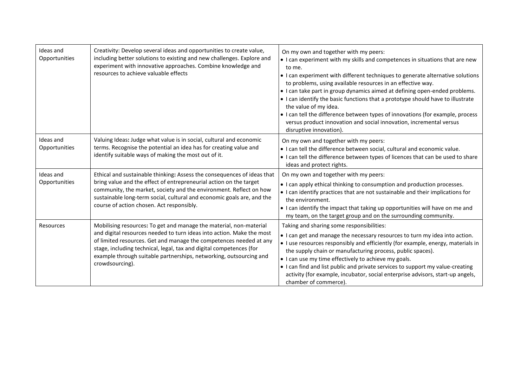| Ideas and<br>Opportunities | Creativity: Develop several ideas and opportunities to create value,<br>including better solutions to existing and new challenges. Explore and<br>experiment with innovative approaches. Combine knowledge and<br>resources to achieve valuable effects                                                                                                                           | On my own and together with my peers:<br>• I can experiment with my skills and competences in situations that are new<br>to me.<br>• I can experiment with different techniques to generate alternative solutions<br>to problems, using available resources in an effective way.<br>• I can take part in group dynamics aimed at defining open-ended problems.<br>• I can identify the basic functions that a prototype should have to illustrate<br>the value of my idea.<br>• I can tell the difference between types of innovations (for example, process<br>versus product innovation and social innovation, incremental versus<br>disruptive innovation). |
|----------------------------|-----------------------------------------------------------------------------------------------------------------------------------------------------------------------------------------------------------------------------------------------------------------------------------------------------------------------------------------------------------------------------------|----------------------------------------------------------------------------------------------------------------------------------------------------------------------------------------------------------------------------------------------------------------------------------------------------------------------------------------------------------------------------------------------------------------------------------------------------------------------------------------------------------------------------------------------------------------------------------------------------------------------------------------------------------------|
| Ideas and<br>Opportunities | Valuing Ideas: Judge what value is in social, cultural and economic<br>terms. Recognise the potential an idea has for creating value and<br>identify suitable ways of making the most out of it.                                                                                                                                                                                  | On my own and together with my peers:<br>. I can tell the difference between social, cultural and economic value.<br>• I can tell the difference between types of licences that can be used to share<br>ideas and protect rights.                                                                                                                                                                                                                                                                                                                                                                                                                              |
| Ideas and<br>Opportunities | Ethical and sustainable thinking: Assess the consequences of ideas that<br>bring value and the effect of entrepreneurial action on the target<br>community, the market, society and the environment. Reflect on how<br>sustainable long-term social, cultural and economic goals are, and the<br>course of action chosen. Act responsibly.                                        | On my own and together with my peers:<br>• I can apply ethical thinking to consumption and production processes.<br>• I can identify practices that are not sustainable and their implications for<br>the environment.<br>• I can identify the impact that taking up opportunities will have on me and<br>my team, on the target group and on the surrounding community.                                                                                                                                                                                                                                                                                       |
| Resources                  | Mobilising resources: To get and manage the material, non-material<br>and digital resources needed to turn ideas into action. Make the most<br>of limited resources. Get and manage the competences needed at any<br>stage, including technical, legal, tax and digital competences (for<br>example through suitable partnerships, networking, outsourcing and<br>crowdsourcing). | Taking and sharing some responsibilities:<br>• I can get and manage the necessary resources to turn my idea into action.<br>• I use resources responsibly and efficiently (for example, energy, materials in<br>the supply chain or manufacturing process, public spaces).<br>• I can use my time effectively to achieve my goals.<br>• I can find and list public and private services to support my value-creating<br>activity (for example, incubator, social enterprise advisors, start-up angels,<br>chamber of commerce).                                                                                                                                |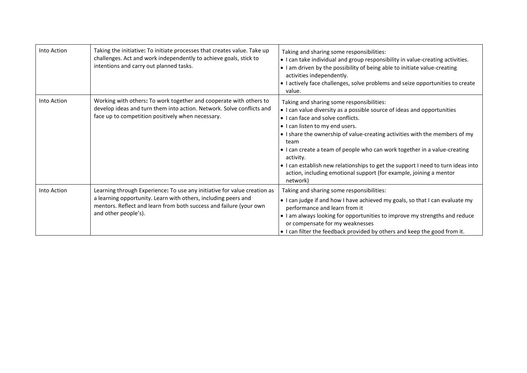| Into Action | Taking the initiative: To initiate processes that creates value. Take up<br>challenges. Act and work independently to achieve goals, stick to<br>intentions and carry out planned tasks.                                                 | Taking and sharing some responsibilities:<br>• I can take individual and group responsibility in value-creating activities.<br>• I am driven by the possibility of being able to initiate value-creating<br>activities independently.<br>• I actively face challenges, solve problems and seize opportunities to create<br>value.                                                                                                                                                                                                                   |
|-------------|------------------------------------------------------------------------------------------------------------------------------------------------------------------------------------------------------------------------------------------|-----------------------------------------------------------------------------------------------------------------------------------------------------------------------------------------------------------------------------------------------------------------------------------------------------------------------------------------------------------------------------------------------------------------------------------------------------------------------------------------------------------------------------------------------------|
| Into Action | Working with others: To work together and cooperate with others to<br>develop ideas and turn them into action. Network. Solve conflicts and<br>face up to competition positively when necessary.                                         | Taking and sharing some responsibilities:<br>• I can value diversity as a possible source of ideas and opportunities<br>• I can face and solve conflicts.<br>• I can listen to my end users.<br>• I share the ownership of value-creating activities with the members of my<br>team<br>• I can create a team of people who can work together in a value-creating<br>activity.<br>• I can establish new relationships to get the support I need to turn ideas into<br>action, including emotional support (for example, joining a mentor<br>network) |
| Into Action | Learning through Experience: To use any initiative for value creation as<br>a learning opportunity. Learn with others, including peers and<br>mentors. Reflect and learn from both success and failure (your own<br>and other people's). | Taking and sharing some responsibilities:<br>• I can judge if and how I have achieved my goals, so that I can evaluate my<br>performance and learn from it<br>• I am always looking for opportunities to improve my strengths and reduce<br>or compensate for my weaknesses<br>• I can filter the feedback provided by others and keep the good from it.                                                                                                                                                                                            |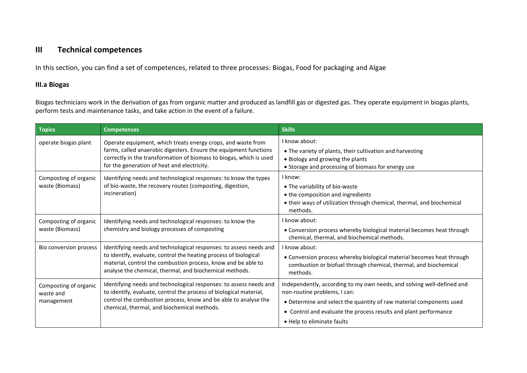# **III Technical competences**

In this section, you can find a set of competences, related to three processes: Biogas, Food for packaging and Algae

#### **III.a Biogas**

Biogas technicians work in the derivation of gas from organic matter and produced as landfill gas or digested gas. They operate equipment in biogas plants, perform tests and maintenance tasks, and take action in the event of a failure.

| <b>Topics</b>                                    | <b>Competences</b>                                                                                                                                                                                                                                                 | <b>Skills</b>                                                                                                                                                                                                                                                                   |
|--------------------------------------------------|--------------------------------------------------------------------------------------------------------------------------------------------------------------------------------------------------------------------------------------------------------------------|---------------------------------------------------------------------------------------------------------------------------------------------------------------------------------------------------------------------------------------------------------------------------------|
| operate biogas plant                             | Operate equipment, which treats energy crops, and waste from<br>farms, called anaerobic digesters. Ensure the equipment functions<br>correctly in the transformation of biomass to biogas, which is used<br>for the generation of heat and electricity.            | I know about:<br>• The variety of plants, their cultivation and harvesting<br>• Biology and growing the plants<br>• Storage and processing of biomass for energy use                                                                                                            |
| Composting of organic<br>waste (Biomass)         | Identifying needs and technological responses: to know the types<br>of bio-waste, the recovery routes (composting, digestion,<br>incineration)                                                                                                                     | I know:<br>• The variability of bio-waste<br>• the composition and ingredients<br>• their ways of utilization through chemical, thermal, and biochemical<br>methods.                                                                                                            |
| Composting of organic<br>waste (Biomass)         | Identifying needs and technological responses: to know the<br>chemistry and biology processes of composting                                                                                                                                                        | I know about:<br>• Conversion process whereby biological material becomes heat through<br>chemical, thermal, and biochemical methods.                                                                                                                                           |
| Bio conversion process                           | Identifying needs and technological responses: to assess needs and<br>to identify, evaluate, control the heating process of biological<br>material, control the combustion process, know and be able to<br>analyse the chemical, thermal, and biochemical methods. | I know about:<br>• Conversion process whereby biological material becomes heat through<br>combustion or biofuel through chemical, thermal, and biochemical<br>methods.                                                                                                          |
| Composting of organic<br>waste and<br>management | Identifying needs and technological responses: to assess needs and<br>to identify, evaluate, control the process of biological material,<br>control the combustion process, know and be able to analyse the<br>chemical, thermal, and biochemical methods.         | Independently, according to my own needs, and solving well-defined and<br>non-routine problems, I can:<br>• Determine and select the quantity of raw material components used<br>• Control and evaluate the process results and plant performance<br>• Help to eliminate faults |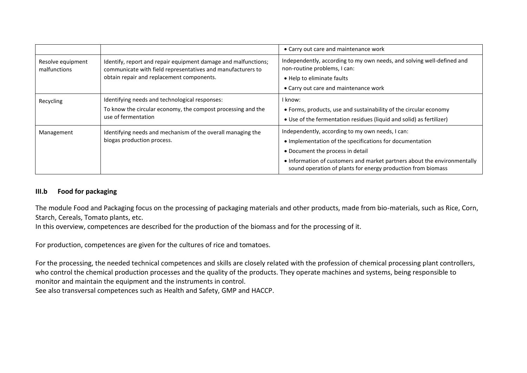|                                   |                                                                                                                                                                            | • Carry out care and maintenance work                                                                                                                                                                                                                                                        |
|-----------------------------------|----------------------------------------------------------------------------------------------------------------------------------------------------------------------------|----------------------------------------------------------------------------------------------------------------------------------------------------------------------------------------------------------------------------------------------------------------------------------------------|
| Resolve equipment<br>malfunctions | Identify, report and repair equipment damage and malfunctions;<br>communicate with field representatives and manufacturers to<br>obtain repair and replacement components. | Independently, according to my own needs, and solving well-defined and<br>non-routine problems, I can:<br>• Help to eliminate faults<br>• Carry out care and maintenance work                                                                                                                |
| Recycling                         | Identifying needs and technological responses:<br>To know the circular economy, the compost processing and the<br>use of fermentation                                      | I know:<br>• Forms, products, use and sustainability of the circular economy<br>• Use of the fermentation residues (liquid and solid) as fertilizer)                                                                                                                                         |
| Management                        | Identifying needs and mechanism of the overall managing the<br>biogas production process.                                                                                  | Independently, according to my own needs, I can:<br>• Implementation of the specifications for documentation<br>• Document the process in detail<br>• Information of customers and market partners about the environmentally<br>sound operation of plants for energy production from biomass |

#### **III.b Food for packaging**

The module Food and Packaging focus on the processing of packaging materials and other products, made from bio-materials, such as Rice, Corn, Starch, Cereals, Tomato plants, etc.

In this overview, competences are described for the production of the biomass and for the processing of it.

For production, competences are given for the cultures of rice and tomatoes.

For the processing, the needed technical competences and skills are closely related with the profession of chemical processing plant controllers, who control the chemical production processes and the quality of the products. They operate machines and systems, being responsible to monitor and maintain the equipment and the instruments in control. See also transversal competences such as Health and Safety, GMP and HACCP.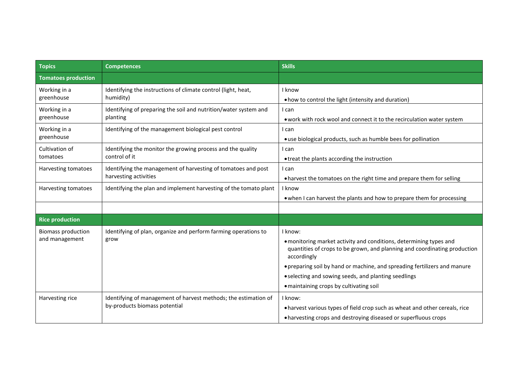| <b>Topics</b>                               | <b>Competences</b>                                                                               | <b>Skills</b>                                                                                                                                                                                                                                                                                                                                             |
|---------------------------------------------|--------------------------------------------------------------------------------------------------|-----------------------------------------------------------------------------------------------------------------------------------------------------------------------------------------------------------------------------------------------------------------------------------------------------------------------------------------------------------|
| <b>Tomatoes production</b>                  |                                                                                                  |                                                                                                                                                                                                                                                                                                                                                           |
| Working in a<br>greenhouse                  | Identifying the instructions of climate control (light, heat,<br>humidity)                       | I know<br>• how to control the light (intensity and duration)                                                                                                                                                                                                                                                                                             |
| Working in a<br>greenhouse                  | Identifying of preparing the soil and nutrition/water system and<br>planting                     | I can<br>. work with rock wool and connect it to the recirculation water system                                                                                                                                                                                                                                                                           |
| Working in a<br>greenhouse                  | Identifying of the management biological pest control                                            | I can<br>• use biological products, such as humble bees for pollination                                                                                                                                                                                                                                                                                   |
| Cultivation of<br>tomatoes                  | Identifying the monitor the growing process and the quality<br>control of it                     | I can<br>• treat the plants according the instruction                                                                                                                                                                                                                                                                                                     |
| Harvesting tomatoes                         | Identifying the management of harvesting of tomatoes and post<br>harvesting activities           | I can<br>. harvest the tomatoes on the right time and prepare them for selling                                                                                                                                                                                                                                                                            |
| Harvesting tomatoes                         | Identifying the plan and implement harvesting of the tomato plant                                | I know<br>• when I can harvest the plants and how to prepare them for processing                                                                                                                                                                                                                                                                          |
| <b>Rice production</b>                      |                                                                                                  |                                                                                                                                                                                                                                                                                                                                                           |
| <b>Biomass production</b><br>and management | Identifying of plan, organize and perform farming operations to<br>grow                          | I know:<br>· monitoring market activity and conditions, determining types and<br>quantities of crops to be grown, and planning and coordinating production<br>accordingly<br>• preparing soil by hand or machine, and spreading fertilizers and manure<br>• selecting and sowing seeds, and planting seedlings<br>• maintaining crops by cultivating soil |
| Harvesting rice                             | Identifying of management of harvest methods; the estimation of<br>by-products biomass potential | I know:<br>• harvest various types of field crop such as wheat and other cereals, rice<br>• harvesting crops and destroying diseased or superfluous crops                                                                                                                                                                                                 |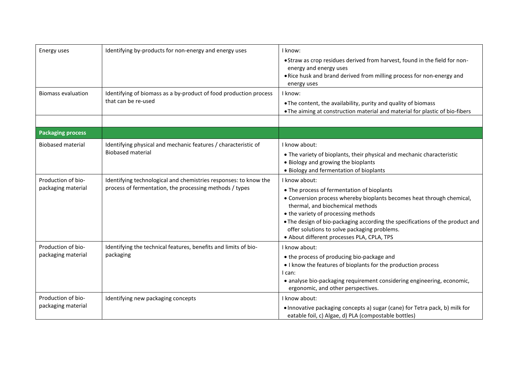| Energy uses                                                          | Identifying by-products for non-energy and energy uses                                                                                                                                                                    | I know:<br>• Straw as crop residues derived from harvest, found in the field for non-<br>energy and energy uses<br>. Rice husk and brand derived from milling process for non-energy and<br>energy uses                                                                                                                                                                                                                                                                                                                       |
|----------------------------------------------------------------------|---------------------------------------------------------------------------------------------------------------------------------------------------------------------------------------------------------------------------|-------------------------------------------------------------------------------------------------------------------------------------------------------------------------------------------------------------------------------------------------------------------------------------------------------------------------------------------------------------------------------------------------------------------------------------------------------------------------------------------------------------------------------|
| <b>Biomass evaluation</b>                                            | Identifying of biomass as a by-product of food production process<br>that can be re-used                                                                                                                                  | I know:<br>. The content, the availability, purity and quality of biomass<br>. The aiming at construction material and material for plastic of bio-fibers                                                                                                                                                                                                                                                                                                                                                                     |
| <b>Packaging process</b>                                             |                                                                                                                                                                                                                           |                                                                                                                                                                                                                                                                                                                                                                                                                                                                                                                               |
| <b>Biobased material</b><br>Production of bio-<br>packaging material | Identifying physical and mechanic features / characteristic of<br><b>Biobased material</b><br>Identifying technological and chemistries responses: to know the<br>process of fermentation, the processing methods / types | I know about:<br>• The variety of bioplants, their physical and mechanic characteristic<br>• Biology and growing the bioplants<br>• Biology and fermentation of bioplants<br>I know about:<br>• The process of fermentation of bioplants<br>• Conversion process whereby bioplants becomes heat through chemical,<br>thermal, and biochemical methods<br>• the variety of processing methods<br>• The design of bio-packaging according the specifications of the product and<br>offer solutions to solve packaging problems. |
| Production of bio-<br>packaging material                             | Identifying the technical features, benefits and limits of bio-<br>packaging                                                                                                                                              | · About different processes PLA, CPLA, TPS<br>I know about:<br>• the process of producing bio-package and<br>• I know the features of bioplants for the production process<br>I can:<br>• analyse bio-packaging requirement considering engineering, economic,                                                                                                                                                                                                                                                                |
| Production of bio-<br>packaging material                             | Identifying new packaging concepts                                                                                                                                                                                        | ergonomic, and other perspectives.<br>I know about:<br>. Innovative packaging concepts a) sugar (cane) for Tetra pack, b) milk for<br>eatable foil, c) Algae, d) PLA (compostable bottles)                                                                                                                                                                                                                                                                                                                                    |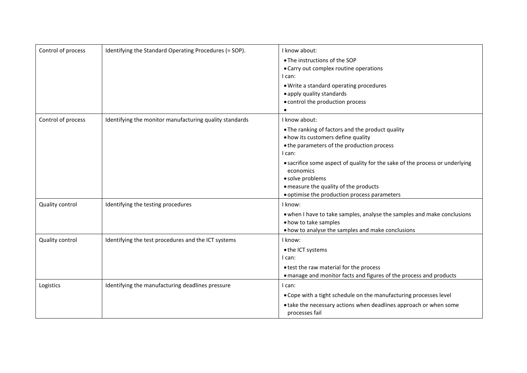| Control of process | Identifying the Standard Operating Procedures (= SOP).  | I know about:<br>• The instructions of the SOP<br>• Carry out complex routine operations<br>l can:<br>. Write a standard operating procedures<br>• apply quality standards<br>• control the production process                                                                                                                                                            |
|--------------------|---------------------------------------------------------|---------------------------------------------------------------------------------------------------------------------------------------------------------------------------------------------------------------------------------------------------------------------------------------------------------------------------------------------------------------------------|
| Control of process | Identifying the monitor manufacturing quality standards | I know about:<br>. The ranking of factors and the product quality<br>. how its customers define quality<br>• the parameters of the production process<br>I can:<br>• sacrifice some aspect of quality for the sake of the process or underlying<br>economics<br>· solve problems<br>• measure the quality of the products<br>• optimise the production process parameters |
| Quality control    | Identifying the testing procedures                      | I know:<br>. when I have to take samples, analyse the samples and make conclusions<br>• how to take samples<br>• how to analyse the samples and make conclusions                                                                                                                                                                                                          |
| Quality control    | Identifying the test procedures and the ICT systems     | I know:<br>• the ICT systems<br>I can:<br>• test the raw material for the process<br>• manage and monitor facts and figures of the process and products                                                                                                                                                                                                                   |
| Logistics          | Identifying the manufacturing deadlines pressure        | l can:<br>• Cope with a tight schedule on the manufacturing processes level<br>• take the necessary actions when deadlines approach or when some<br>processes fail                                                                                                                                                                                                        |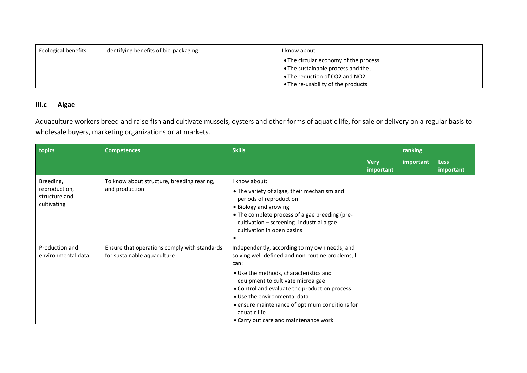| <b>Ecological benefits</b> | Identifying benefits of bio-packaging | I know about:                          |
|----------------------------|---------------------------------------|----------------------------------------|
|                            |                                       | • The circular economy of the process, |
|                            |                                       | • The sustainable process and the,     |
|                            |                                       | • The reduction of CO2 and NO2         |
|                            |                                       | • The re-usability of the products     |

### **III.c Algae**

Aquaculture workers breed and raise fish and cultivate mussels, oysters and other forms of aquatic life, for sale or delivery on a regular basis to wholesale buyers, marketing organizations or at markets.

| topics                                                     | <b>Competences</b>                                                          | <b>Skills</b>                                                                                                                                                                                                                                                                                                                                                                        | ranking                  |           |                          |
|------------------------------------------------------------|-----------------------------------------------------------------------------|--------------------------------------------------------------------------------------------------------------------------------------------------------------------------------------------------------------------------------------------------------------------------------------------------------------------------------------------------------------------------------------|--------------------------|-----------|--------------------------|
|                                                            |                                                                             |                                                                                                                                                                                                                                                                                                                                                                                      | <b>Very</b><br>important | important | <b>Less</b><br>important |
| Breeding,<br>reproduction,<br>structure and<br>cultivating | To know about structure, breeding rearing,<br>and production                | I know about:<br>• The variety of algae, their mechanism and<br>periods of reproduction<br>• Biology and growing<br>• The complete process of algae breeding (pre-<br>cultivation - screening- industrial algae-<br>cultivation in open basins                                                                                                                                       |                          |           |                          |
| Production and<br>environmental data                       | Ensure that operations comply with standards<br>for sustainable aquaculture | Independently, according to my own needs, and<br>solving well-defined and non-routine problems, I<br>can:<br>• Use the methods, characteristics and<br>equipment to cultivate microalgae<br>• Control and evaluate the production process<br>• Use the environmental data<br>• ensure maintenance of optimum conditions for<br>aquatic life<br>• Carry out care and maintenance work |                          |           |                          |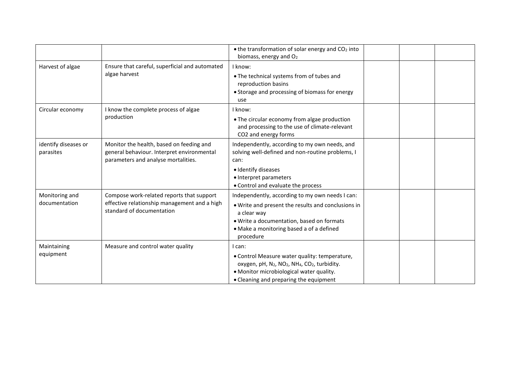|                                   |                                                                                                                               | $\bullet$ the transformation of solar energy and CO <sub>2</sub> into<br>biomass, energy and O <sub>2</sub>                                                                                                                                    |  |  |  |
|-----------------------------------|-------------------------------------------------------------------------------------------------------------------------------|------------------------------------------------------------------------------------------------------------------------------------------------------------------------------------------------------------------------------------------------|--|--|--|
| Harvest of algae                  | Ensure that careful, superficial and automated<br>algae harvest                                                               | I know:<br>. The technical systems from of tubes and<br>reproduction basins<br>• Storage and processing of biomass for energy<br>use                                                                                                           |  |  |  |
| Circular economy                  | I know the complete process of algae<br>production                                                                            | I know:<br>• The circular economy from algae production<br>and processing to the use of climate-relevant<br>CO2 and energy forms                                                                                                               |  |  |  |
| identify diseases or<br>parasites | Monitor the health, based on feeding and<br>general behaviour. Interpret environmental<br>parameters and analyse mortalities. | Independently, according to my own needs, and<br>solving well-defined and non-routine problems, I<br>can:<br>· Identify diseases<br>• Interpret parameters<br>• Control and evaluate the process                                               |  |  |  |
| Monitoring and<br>documentation   | Compose work-related reports that support<br>effective relationship management and a high<br>standard of documentation        | Independently, according to my own needs I can:<br>. Write and present the results and conclusions in<br>a clear way<br>· Write a documentation, based on formats<br>• Make a monitoring based a of a defined<br>procedure                     |  |  |  |
| Maintaining<br>equipment          | Measure and control water quality                                                                                             | l can:<br>• Control Measure water quality: temperature,<br>oxygen, pH, N <sub>2</sub> , NO <sub>2</sub> , NH <sub>4</sub> , CO <sub>2</sub> , turbidity.<br>· Monitor microbiological water quality.<br>• Cleaning and preparing the equipment |  |  |  |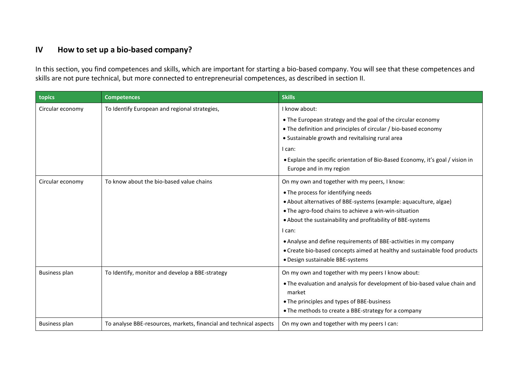# **IV How to set up a bio-based company?**

In this section, you find competences and skills, which are important for starting a bio-based company. You will see that these competences and skills are not pure technical, but more connected to entrepreneurial competences, as described in section II.

| topics               | <b>Competences</b>                                                 | <b>Skills</b>                                                                                                                                                                                                                                                                                                                                                                                                                                                                      |
|----------------------|--------------------------------------------------------------------|------------------------------------------------------------------------------------------------------------------------------------------------------------------------------------------------------------------------------------------------------------------------------------------------------------------------------------------------------------------------------------------------------------------------------------------------------------------------------------|
| Circular economy     | To Identify European and regional strategies,                      | I know about:<br>• The European strategy and the goal of the circular economy<br>• The definition and principles of circular / bio-based economy<br>• Sustainable growth and revitalising rural area<br>I can:<br>• Explain the specific orientation of Bio-Based Economy, it's goal / vision in<br>Europe and in my region                                                                                                                                                        |
| Circular economy     | To know about the bio-based value chains                           | On my own and together with my peers, I know:<br>• The process for identifying needs<br>• About alternatives of BBE-systems (example: aquaculture, algae)<br>• The agro-food chains to achieve a win-win-situation<br>• About the sustainability and profitability of BBE-systems<br>I can:<br>• Analyse and define requirements of BBE-activities in my company<br>• Create bio-based concepts aimed at healthy and sustainable food products<br>· Design sustainable BBE-systems |
| <b>Business plan</b> | To Identify, monitor and develop a BBE-strategy                    | On my own and together with my peers I know about:<br>. The evaluation and analysis for development of bio-based value chain and<br>market<br>• The principles and types of BBE-business<br>• The methods to create a BBE-strategy for a company                                                                                                                                                                                                                                   |
| <b>Business plan</b> | To analyse BBE-resources, markets, financial and technical aspects | On my own and together with my peers I can:                                                                                                                                                                                                                                                                                                                                                                                                                                        |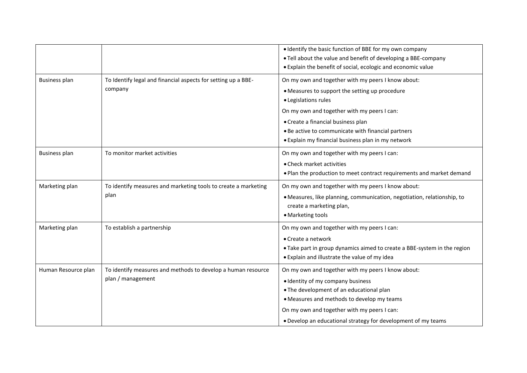|                      |                                                                | • Identify the basic function of BBE for my own company                  |
|----------------------|----------------------------------------------------------------|--------------------------------------------------------------------------|
|                      |                                                                | . Tell about the value and benefit of developing a BBE-company           |
|                      |                                                                | . Explain the benefit of social, ecologic and economic value             |
| <b>Business plan</b> | To Identify legal and financial aspects for setting up a BBE-  | On my own and together with my peers I know about:                       |
|                      | company                                                        | • Measures to support the setting up procedure                           |
|                      |                                                                | · Legislations rules                                                     |
|                      |                                                                | On my own and together with my peers I can:                              |
|                      |                                                                | • Create a financial business plan                                       |
|                      |                                                                | . Be active to communicate with financial partners                       |
|                      |                                                                | • Explain my financial business plan in my network                       |
| Business plan        | To monitor market activities                                   | On my own and together with my peers I can:                              |
|                      |                                                                | • Check market activities                                                |
|                      |                                                                | . Plan the production to meet contract requirements and market demand    |
| Marketing plan       | To identify measures and marketing tools to create a marketing | On my own and together with my peers I know about:                       |
|                      | plan                                                           | · Measures, like planning, communication, negotiation, relationship, to  |
|                      |                                                                | create a marketing plan,                                                 |
|                      |                                                                | • Marketing tools                                                        |
| Marketing plan       | To establish a partnership                                     | On my own and together with my peers I can:                              |
|                      |                                                                | • Create a network                                                       |
|                      |                                                                | • Take part in group dynamics aimed to create a BBE-system in the region |
|                      |                                                                | • Explain and illustrate the value of my idea                            |
| Human Resource plan  | To identify measures and methods to develop a human resource   | On my own and together with my peers I know about:                       |
|                      | plan / management                                              | • Identity of my company business                                        |
|                      |                                                                | . The development of an educational plan                                 |
|                      |                                                                | • Measures and methods to develop my teams                               |
|                      |                                                                | On my own and together with my peers I can:                              |
|                      |                                                                | . Develop an educational strategy for development of my teams            |